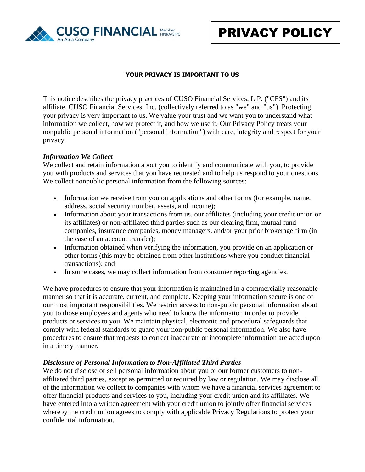

## **YOUR PRIVACY IS IMPORTANT TO US**

This notice describes the privacy practices of CUSO Financial Services, L.P. ("CFS") and its affiliate, CUSO Financial Services, Inc. (collectively referred to as "we" and "us"). Protecting your privacy is very important to us. We value your trust and we want you to understand what information we collect, how we protect it, and how we use it. Our Privacy Policy treats your nonpublic personal information ("personal information") with care, integrity and respect for your privacy.

### *Information We Collect*

We collect and retain information about you to identify and communicate with you, to provide you with products and services that you have requested and to help us respond to your questions. We collect nonpublic personal information from the following sources:

- Information we receive from you on applications and other forms (for example, name, address, social security number, assets, and income);
- Information about your transactions from us, our affiliates (including your credit union or its affiliates) or non-affiliated third parties such as our clearing firm, mutual fund companies, insurance companies, money managers, and/or your prior brokerage firm (in the case of an account transfer);
- Information obtained when verifying the information, you provide on an application or other forms (this may be obtained from other institutions where you conduct financial transactions); and
- In some cases, we may collect information from consumer reporting agencies.

We have procedures to ensure that your information is maintained in a commercially reasonable manner so that it is accurate, current, and complete. Keeping your information secure is one of our most important responsibilities. We restrict access to non-public personal information about you to those employees and agents who need to know the information in order to provide products or services to you. We maintain physical, electronic and procedural safeguards that comply with federal standards to guard your non-public personal information. We also have procedures to ensure that requests to correct inaccurate or incomplete information are acted upon in a timely manner.

## *Disclosure of Personal Information to Non-Affiliated Third Parties*

We do not disclose or sell personal information about you or our former customers to nonaffiliated third parties, except as permitted or required by law or regulation. We may disclose all of the information we collect to companies with whom we have a financial services agreement to offer financial products and services to you, including your credit union and its affiliates. We have entered into a written agreement with your credit union to jointly offer financial services whereby the credit union agrees to comply with applicable Privacy Regulations to protect your confidential information.